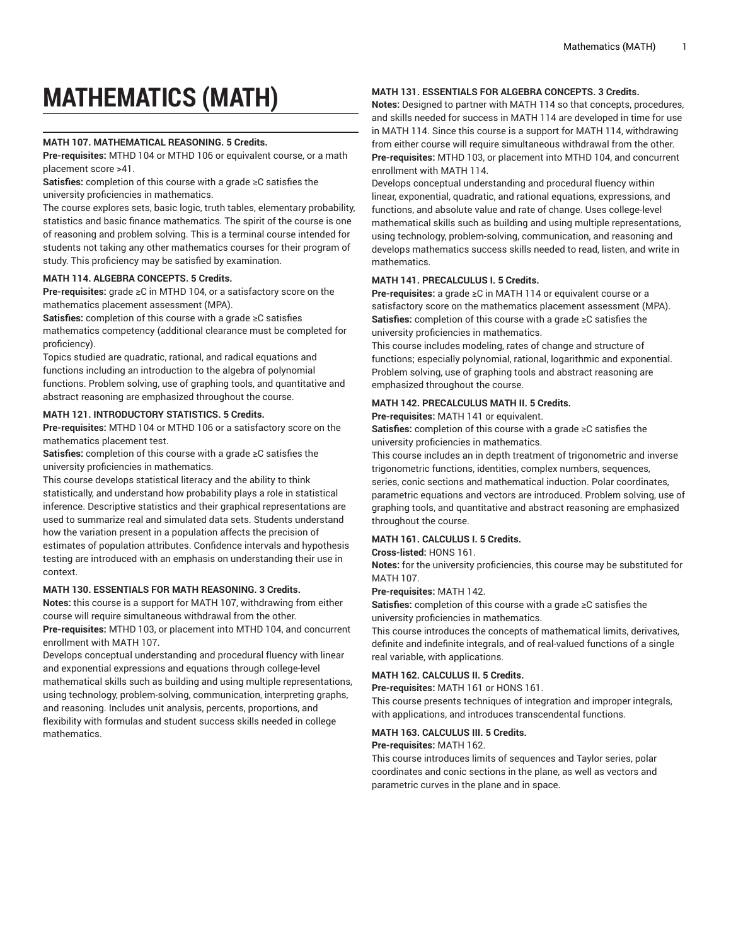# **MATHEMATICS (MATH)**

# **MATH 107. MATHEMATICAL REASONING. 5 Credits.**

**Pre-requisites:** MTHD 104 or MTHD 106 or equivalent course, or a math placement score >41.

**Satisfies:** completion of this course with a grade ≥C satisfies the university proficiencies in mathematics.

The course explores sets, basic logic, truth tables, elementary probability, statistics and basic finance mathematics. The spirit of the course is one of reasoning and problem solving. This is a terminal course intended for students not taking any other mathematics courses for their program of study. This proficiency may be satisfied by examination.

# **MATH 114. ALGEBRA CONCEPTS. 5 Credits.**

**Pre-requisites:** grade ≥C in MTHD 104, or a satisfactory score on the mathematics placement assessment (MPA).

**Satisfies:** completion of this course with a grade ≥C satisfies mathematics competency (additional clearance must be completed for proficiency).

Topics studied are quadratic, rational, and radical equations and functions including an introduction to the algebra of polynomial functions. Problem solving, use of graphing tools, and quantitative and abstract reasoning are emphasized throughout the course.

# **MATH 121. INTRODUCTORY STATISTICS. 5 Credits.**

**Pre-requisites:** MTHD 104 or MTHD 106 or a satisfactory score on the mathematics placement test.

**Satisfies:** completion of this course with a grade ≥C satisfies the university proficiencies in mathematics.

This course develops statistical literacy and the ability to think statistically, and understand how probability plays a role in statistical inference. Descriptive statistics and their graphical representations are used to summarize real and simulated data sets. Students understand how the variation present in a population affects the precision of estimates of population attributes. Confidence intervals and hypothesis testing are introduced with an emphasis on understanding their use in context.

## **MATH 130. ESSENTIALS FOR MATH REASONING. 3 Credits.**

**Notes:** this course is a support for MATH 107, withdrawing from either course will require simultaneous withdrawal from the other.

**Pre-requisites:** MTHD 103, or placement into MTHD 104, and concurrent enrollment with MATH 107.

Develops conceptual understanding and procedural fluency with linear and exponential expressions and equations through college-level mathematical skills such as building and using multiple representations, using technology, problem-solving, communication, interpreting graphs, and reasoning. Includes unit analysis, percents, proportions, and flexibility with formulas and student success skills needed in college mathematics.

# **MATH 131. ESSENTIALS FOR ALGEBRA CONCEPTS. 3 Credits.**

**Notes:** Designed to partner with MATH 114 so that concepts, procedures, and skills needed for success in MATH 114 are developed in time for use in MATH 114. Since this course is a support for MATH 114, withdrawing from either course will require simultaneous withdrawal from the other. **Pre-requisites:** MTHD 103, or placement into MTHD 104, and concurrent enrollment with MATH 114.

Develops conceptual understanding and procedural fluency within linear, exponential, quadratic, and rational equations, expressions, and functions, and absolute value and rate of change. Uses college-level mathematical skills such as building and using multiple representations, using technology, problem-solving, communication, and reasoning and develops mathematics success skills needed to read, listen, and write in mathematics.

## **MATH 141. PRECALCULUS I. 5 Credits.**

**Pre-requisites:** a grade ≥C in MATH 114 or equivalent course or a satisfactory score on the mathematics placement assessment (MPA). **Satisfies:** completion of this course with a grade ≥C satisfies the university proficiencies in mathematics.

This course includes modeling, rates of change and structure of functions; especially polynomial, rational, logarithmic and exponential. Problem solving, use of graphing tools and abstract reasoning are emphasized throughout the course.

## **MATH 142. PRECALCULUS MATH II. 5 Credits.**

**Pre-requisites:** MATH 141 or equivalent.

**Satisfies:** completion of this course with a grade ≥C satisfies the university proficiencies in mathematics.

This course includes an in depth treatment of trigonometric and inverse trigonometric functions, identities, complex numbers, sequences, series, conic sections and mathematical induction. Polar coordinates, parametric equations and vectors are introduced. Problem solving, use of graphing tools, and quantitative and abstract reasoning are emphasized throughout the course.

# **MATH 161. CALCULUS I. 5 Credits.**

# **Cross-listed:** HONS 161.

**Notes:** for the university proficiencies, this course may be substituted for MATH 107.

## **Pre-requisites:** MATH 142.

**Satisfies:** completion of this course with a grade ≥C satisfies the university proficiencies in mathematics.

This course introduces the concepts of mathematical limits, derivatives, definite and indefinite integrals, and of real-valued functions of a single real variable, with applications.

# **MATH 162. CALCULUS II. 5 Credits.**

**Pre-requisites:** MATH 161 or HONS 161.

This course presents techniques of integration and improper integrals, with applications, and introduces transcendental functions.

# **MATH 163. CALCULUS III. 5 Credits.**

## **Pre-requisites:** MATH 162.

This course introduces limits of sequences and Taylor series, polar coordinates and conic sections in the plane, as well as vectors and parametric curves in the plane and in space.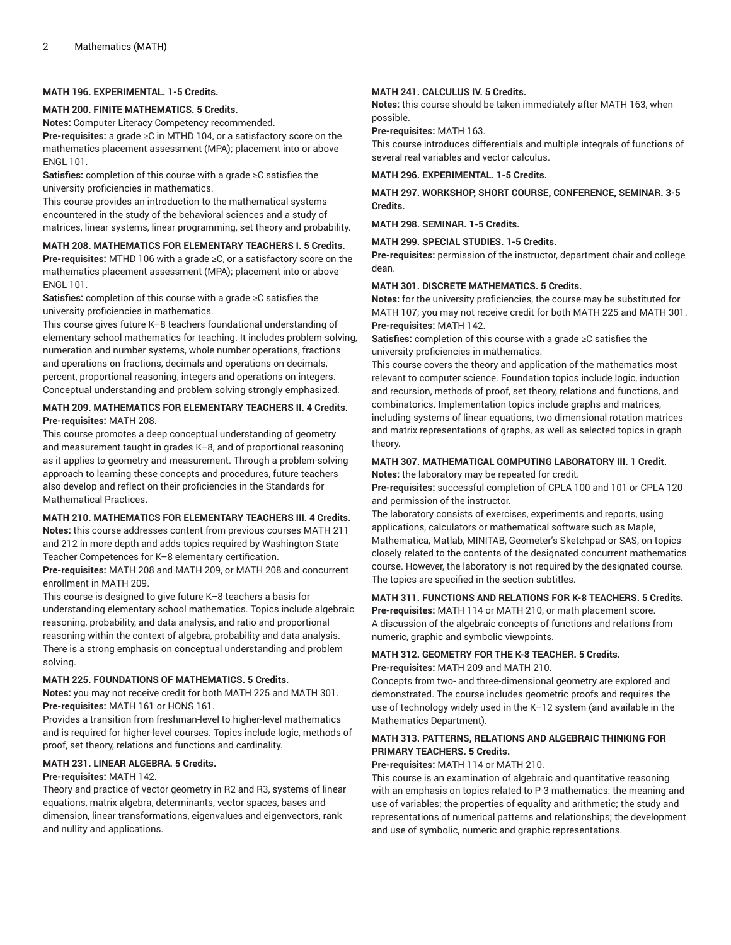## **MATH 196. EXPERIMENTAL. 1-5 Credits.**

## **MATH 200. FINITE MATHEMATICS. 5 Credits.**

**Notes:** Computer Literacy Competency recommended.

**Pre-requisites:** a grade ≥C in MTHD 104, or a satisfactory score on the mathematics placement assessment (MPA); placement into or above ENGL 101.

**Satisfies:** completion of this course with a grade ≥C satisfies the university proficiencies in mathematics.

This course provides an introduction to the mathematical systems encountered in the study of the behavioral sciences and a study of matrices, linear systems, linear programming, set theory and probability.

# **MATH 208. MATHEMATICS FOR ELEMENTARY TEACHERS I. 5 Credits.**

**Pre-requisites:** MTHD 106 with a grade ≥C, or a satisfactory score on the mathematics placement assessment (MPA); placement into or above ENGL 101.

**Satisfies:** completion of this course with a grade ≥C satisfies the university proficiencies in mathematics.

This course gives future K–8 teachers foundational understanding of elementary school mathematics for teaching. It includes problem-solving, numeration and number systems, whole number operations, fractions and operations on fractions, decimals and operations on decimals, percent, proportional reasoning, integers and operations on integers. Conceptual understanding and problem solving strongly emphasized.

## **MATH 209. MATHEMATICS FOR ELEMENTARY TEACHERS II. 4 Credits. Pre-requisites:** MATH 208.

This course promotes a deep conceptual understanding of geometry and measurement taught in grades K–8, and of proportional reasoning as it applies to geometry and measurement. Through a problem-solving approach to learning these concepts and procedures, future teachers also develop and reflect on their proficiencies in the Standards for Mathematical Practices.

# **MATH 210. MATHEMATICS FOR ELEMENTARY TEACHERS III. 4 Credits.**

**Notes:** this course addresses content from previous courses MATH 211 and 212 in more depth and adds topics required by Washington State Teacher Competences for K–8 elementary certification.

**Pre-requisites:** MATH 208 and MATH 209, or MATH 208 and concurrent enrollment in MATH 209.

This course is designed to give future K–8 teachers a basis for understanding elementary school mathematics. Topics include algebraic reasoning, probability, and data analysis, and ratio and proportional reasoning within the context of algebra, probability and data analysis. There is a strong emphasis on conceptual understanding and problem solving.

## **MATH 225. FOUNDATIONS OF MATHEMATICS. 5 Credits.**

**Notes:** you may not receive credit for both MATH 225 and MATH 301. **Pre-requisites:** MATH 161 or HONS 161.

Provides a transition from freshman-level to higher-level mathematics and is required for higher-level courses. Topics include logic, methods of proof, set theory, relations and functions and cardinality.

# **MATH 231. LINEAR ALGEBRA. 5 Credits.**

## **Pre-requisites:** MATH 142.

Theory and practice of vector geometry in R2 and R3, systems of linear equations, matrix algebra, determinants, vector spaces, bases and dimension, linear transformations, eigenvalues and eigenvectors, rank and nullity and applications.

## **MATH 241. CALCULUS IV. 5 Credits.**

**Notes:** this course should be taken immediately after MATH 163, when possible.

**Pre-requisites:** MATH 163.

This course introduces differentials and multiple integrals of functions of several real variables and vector calculus.

**MATH 296. EXPERIMENTAL. 1-5 Credits.**

**MATH 297. WORKSHOP, SHORT COURSE, CONFERENCE, SEMINAR. 3-5 Credits.**

**MATH 298. SEMINAR. 1-5 Credits.**

**MATH 299. SPECIAL STUDIES. 1-5 Credits.**

**Pre-requisites:** permission of the instructor, department chair and college dean.

## **MATH 301. DISCRETE MATHEMATICS. 5 Credits.**

**Notes:** for the university proficiencies, the course may be substituted for MATH 107; you may not receive credit for both MATH 225 and MATH 301. **Pre-requisites:** MATH 142.

**Satisfies:** completion of this course with a grade ≥C satisfies the university proficiencies in mathematics.

This course covers the theory and application of the mathematics most relevant to computer science. Foundation topics include logic, induction and recursion, methods of proof, set theory, relations and functions, and combinatorics. Implementation topics include graphs and matrices, including systems of linear equations, two dimensional rotation matrices and matrix representations of graphs, as well as selected topics in graph theory.

## **MATH 307. MATHEMATICAL COMPUTING LABORATORY III. 1 Credit. Notes:** the laboratory may be repeated for credit.

**Pre-requisites:** successful completion of CPLA 100 and 101 or CPLA 120 and permission of the instructor.

The laboratory consists of exercises, experiments and reports, using applications, calculators or mathematical software such as Maple, Mathematica, Matlab, MINITAB, Geometer's Sketchpad or SAS, on topics closely related to the contents of the designated concurrent mathematics course. However, the laboratory is not required by the designated course. The topics are specified in the section subtitles.

# **MATH 311. FUNCTIONS AND RELATIONS FOR K-8 TEACHERS. 5 Credits.**

**Pre-requisites:** MATH 114 or MATH 210, or math placement score. A discussion of the algebraic concepts of functions and relations from numeric, graphic and symbolic viewpoints.

# **MATH 312. GEOMETRY FOR THE K-8 TEACHER. 5 Credits. Pre-requisites:** MATH 209 and MATH 210.

Concepts from two- and three-dimensional geometry are explored and demonstrated. The course includes geometric proofs and requires the use of technology widely used in the K–12 system (and available in the Mathematics Department).

# **MATH 313. PATTERNS, RELATIONS AND ALGEBRAIC THINKING FOR PRIMARY TEACHERS. 5 Credits.**

## **Pre-requisites:** MATH 114 or MATH 210.

This course is an examination of algebraic and quantitative reasoning with an emphasis on topics related to P-3 mathematics: the meaning and use of variables; the properties of equality and arithmetic; the study and representations of numerical patterns and relationships; the development and use of symbolic, numeric and graphic representations.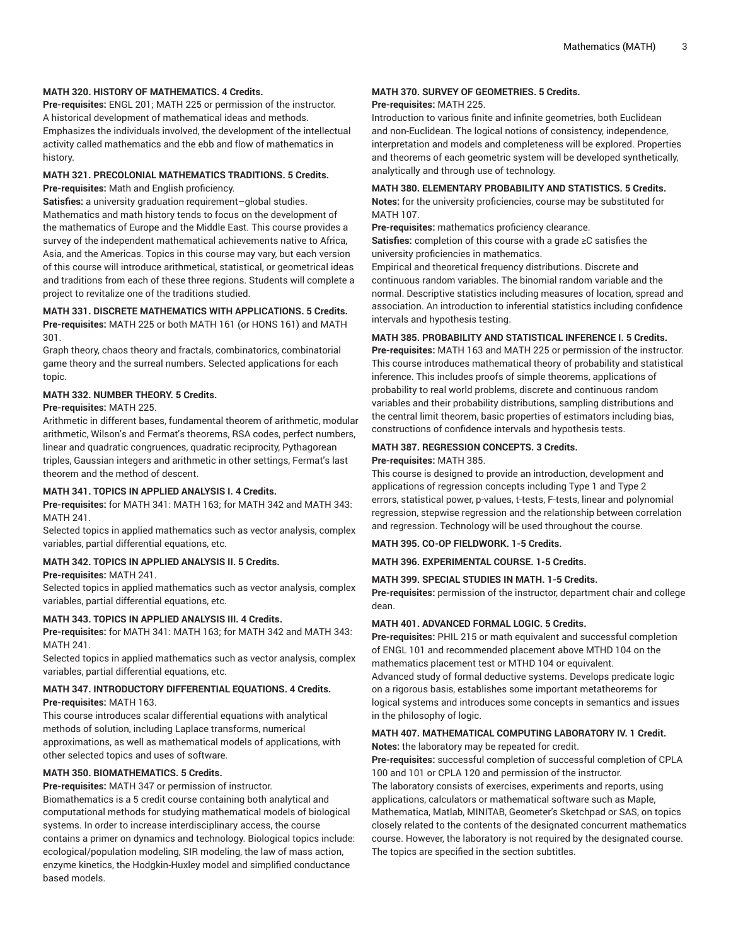## **MATH 320. HISTORY OF MATHEMATICS. 4 Credits.**

**Pre-requisites:** ENGL 201; MATH 225 or permission of the instructor. A historical development of mathematical ideas and methods. Emphasizes the individuals involved, the development of the intellectual activity called mathematics and the ebb and flow of mathematics in history.

## **MATH 321. PRECOLONIAL MATHEMATICS TRADITIONS. 5 Credits. Pre-requisites:** Math and English proficiency.

**Satisfies:** a university graduation requirement–global studies. Mathematics and math history tends to focus on the development of the mathematics of Europe and the Middle East. This course provides a survey of the independent mathematical achievements native to Africa, Asia, and the Americas. Topics in this course may vary, but each version of this course will introduce arithmetical, statistical, or geometrical ideas and traditions from each of these three regions. Students will complete a project to revitalize one of the traditions studied.

## **MATH 331. DISCRETE MATHEMATICS WITH APPLICATIONS. 5 Credits. Pre-requisites:** MATH 225 or both MATH 161 (or HONS 161) and MATH 301.

Graph theory, chaos theory and fractals, combinatorics, combinatorial game theory and the surreal numbers. Selected applications for each topic.

## **MATH 332. NUMBER THEORY. 5 Credits.**

# **Pre-requisites:** MATH 225.

Arithmetic in different bases, fundamental theorem of arithmetic, modular arithmetic, Wilson's and Fermat's theorems, RSA codes, perfect numbers, linear and quadratic congruences, quadratic reciprocity, Pythagorean triples, Gaussian integers and arithmetic in other settings, Fermat's last theorem and the method of descent.

## **MATH 341. TOPICS IN APPLIED ANALYSIS I. 4 Credits.**

**Pre-requisites:** for MATH 341: MATH 163; for MATH 342 and MATH 343: MATH 241.

Selected topics in applied mathematics such as vector analysis, complex variables, partial differential equations, etc.

## **MATH 342. TOPICS IN APPLIED ANALYSIS II. 5 Credits.**

## **Pre-requisites:** MATH 241.

Selected topics in applied mathematics such as vector analysis, complex variables, partial differential equations, etc.

# **MATH 343. TOPICS IN APPLIED ANALYSIS III. 4 Credits.**

**Pre-requisites:** for MATH 341: MATH 163; for MATH 342 and MATH 343: MATH 241.

Selected topics in applied mathematics such as vector analysis, complex variables, partial differential equations, etc.

# **MATH 347. INTRODUCTORY DIFFERENTIAL EQUATIONS. 4 Credits. Pre-requisites:** MATH 163.

This course introduces scalar differential equations with analytical methods of solution, including Laplace transforms, numerical approximations, as well as mathematical models of applications, with other selected topics and uses of software.

# **MATH 350. BIOMATHEMATICS. 5 Credits.**

**Pre-requisites:** MATH 347 or permission of instructor.

Biomathematics is a 5 credit course containing both analytical and computational methods for studying mathematical models of biological systems. In order to increase interdisciplinary access, the course contains a primer on dynamics and technology. Biological topics include: ecological/population modeling, SIR modeling, the law of mass action, enzyme kinetics, the Hodgkin-Huxley model and simplified conductance based models.

# **MATH 370. SURVEY OF GEOMETRIES. 5 Credits.**

# **Pre-requisites:** MATH 225.

Introduction to various finite and infinite geometries, both Euclidean and non-Euclidean. The logical notions of consistency, independence, interpretation and models and completeness will be explored. Properties and theorems of each geometric system will be developed synthetically, analytically and through use of technology.

## **MATH 380. ELEMENTARY PROBABILITY AND STATISTICS. 5 Credits.**

**Notes:** for the university proficiencies, course may be substituted for MATH 107.

**Pre-requisites:** mathematics proficiency clearance.

**Satisfies:** completion of this course with a grade ≥C satisfies the university proficiencies in mathematics.

Empirical and theoretical frequency distributions. Discrete and continuous random variables. The binomial random variable and the normal. Descriptive statistics including measures of location, spread and association. An introduction to inferential statistics including confidence intervals and hypothesis testing.

## **MATH 385. PROBABILITY AND STATISTICAL INFERENCE I. 5 Credits.**

**Pre-requisites:** MATH 163 and MATH 225 or permission of the instructor. This course introduces mathematical theory of probability and statistical inference. This includes proofs of simple theorems, applications of probability to real world problems, discrete and continuous random variables and their probability distributions, sampling distributions and the central limit theorem, basic properties of estimators including bias, constructions of confidence intervals and hypothesis tests.

## **MATH 387. REGRESSION CONCEPTS. 3 Credits. Pre-requisites:** MATH 385.

This course is designed to provide an introduction, development and applications of regression concepts including Type 1 and Type 2 errors, statistical power, p-values, t-tests, F-tests, linear and polynomial regression, stepwise regression and the relationship between correlation and regression. Technology will be used throughout the course.

## **MATH 395. CO-OP FIELDWORK. 1-5 Credits.**

**MATH 396. EXPERIMENTAL COURSE. 1-5 Credits.**

## **MATH 399. SPECIAL STUDIES IN MATH. 1-5 Credits.**

**Pre-requisites:** permission of the instructor, department chair and college dean.

## **MATH 401. ADVANCED FORMAL LOGIC. 5 Credits.**

**Pre-requisites:** PHIL 215 or math equivalent and successful completion of ENGL 101 and recommended placement above MTHD 104 on the mathematics placement test or MTHD 104 or equivalent. Advanced study of formal deductive systems. Develops predicate logic on a rigorous basis, establishes some important metatheorems for logical systems and introduces some concepts in semantics and issues in the philosophy of logic.

## **MATH 407. MATHEMATICAL COMPUTING LABORATORY IV. 1 Credit. Notes:** the laboratory may be repeated for credit.

**Pre-requisites:** successful completion of successful completion of CPLA 100 and 101 or CPLA 120 and permission of the instructor. The laboratory consists of exercises, experiments and reports, using applications, calculators or mathematical software such as Maple, Mathematica, Matlab, MINITAB, Geometer's Sketchpad or SAS, on topics closely related to the contents of the designated concurrent mathematics course. However, the laboratory is not required by the designated course. The topics are specified in the section subtitles.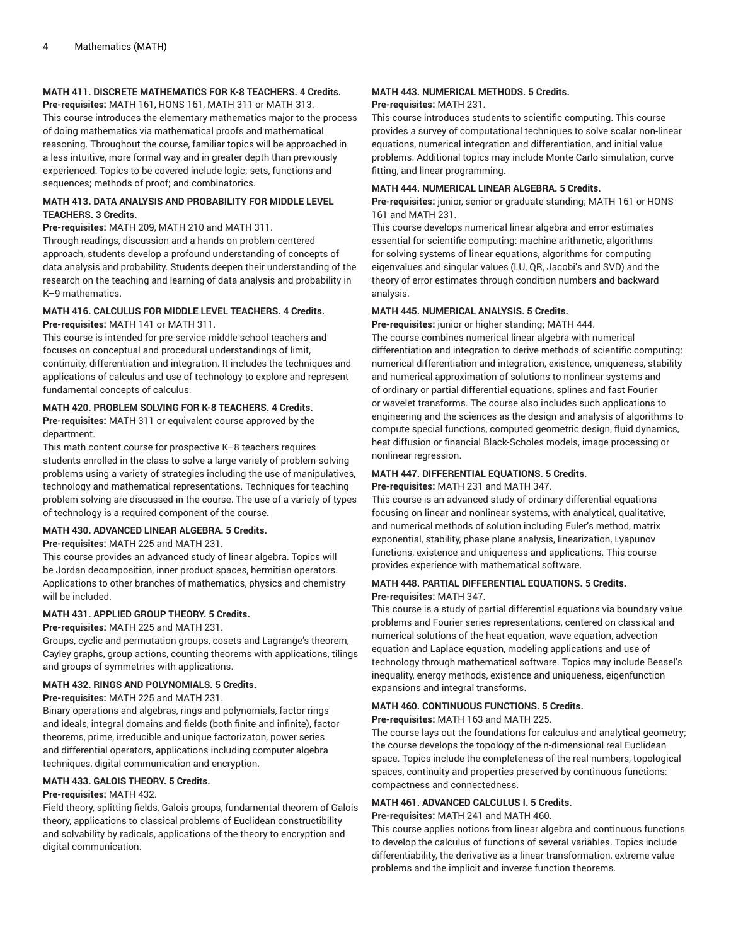# **MATH 411. DISCRETE MATHEMATICS FOR K-8 TEACHERS. 4 Credits.**

**Pre-requisites:** MATH 161, HONS 161, MATH 311 or MATH 313. This course introduces the elementary mathematics major to the process of doing mathematics via mathematical proofs and mathematical reasoning. Throughout the course, familiar topics will be approached in a less intuitive, more formal way and in greater depth than previously experienced. Topics to be covered include logic; sets, functions and sequences; methods of proof; and combinatorics.

## **MATH 413. DATA ANALYSIS AND PROBABILITY FOR MIDDLE LEVEL TEACHERS. 3 Credits.**

**Pre-requisites:** MATH 209, MATH 210 and MATH 311.

Through readings, discussion and a hands-on problem-centered approach, students develop a profound understanding of concepts of data analysis and probability. Students deepen their understanding of the research on the teaching and learning of data analysis and probability in K–9 mathematics.

## **MATH 416. CALCULUS FOR MIDDLE LEVEL TEACHERS. 4 Credits. Pre-requisites:** MATH 141 or MATH 311.

This course is intended for pre-service middle school teachers and

focuses on conceptual and procedural understandings of limit, continuity, differentiation and integration. It includes the techniques and applications of calculus and use of technology to explore and represent fundamental concepts of calculus.

# **MATH 420. PROBLEM SOLVING FOR K-8 TEACHERS. 4 Credits.**

**Pre-requisites:** MATH 311 or equivalent course approved by the department.

This math content course for prospective K–8 teachers requires students enrolled in the class to solve a large variety of problem-solving problems using a variety of strategies including the use of manipulatives, technology and mathematical representations. Techniques for teaching problem solving are discussed in the course. The use of a variety of types of technology is a required component of the course.

## **MATH 430. ADVANCED LINEAR ALGEBRA. 5 Credits.**

**Pre-requisites:** MATH 225 and MATH 231.

This course provides an advanced study of linear algebra. Topics will be Jordan decomposition, inner product spaces, hermitian operators. Applications to other branches of mathematics, physics and chemistry will be included.

## **MATH 431. APPLIED GROUP THEORY. 5 Credits.**

## **Pre-requisites:** MATH 225 and MATH 231.

Groups, cyclic and permutation groups, cosets and Lagrange's theorem, Cayley graphs, group actions, counting theorems with applications, tilings and groups of symmetries with applications.

## **MATH 432. RINGS AND POLYNOMIALS. 5 Credits.**

**Pre-requisites:** MATH 225 and MATH 231.

Binary operations and algebras, rings and polynomials, factor rings and ideals, integral domains and fields (both finite and infinite), factor theorems, prime, irreducible and unique factorizaton, power series and differential operators, applications including computer algebra techniques, digital communication and encryption.

# **MATH 433. GALOIS THEORY. 5 Credits.**

# **Pre-requisites:** MATH 432.

Field theory, splitting fields, Galois groups, fundamental theorem of Galois theory, applications to classical problems of Euclidean constructibility and solvability by radicals, applications of the theory to encryption and digital communication.

## **MATH 443. NUMERICAL METHODS. 5 Credits. Pre-requisites:** MATH 231.

This course introduces students to scientific computing. This course provides a survey of computational techniques to solve scalar non-linear equations, numerical integration and differentiation, and initial value problems. Additional topics may include Monte Carlo simulation, curve fitting, and linear programming.

## **MATH 444. NUMERICAL LINEAR ALGEBRA. 5 Credits.**

**Pre-requisites:** junior, senior or graduate standing; MATH 161 or HONS 161 and MATH 231.

This course develops numerical linear algebra and error estimates essential for scientific computing: machine arithmetic, algorithms for solving systems of linear equations, algorithms for computing eigenvalues and singular values (LU, QR, Jacobi's and SVD) and the theory of error estimates through condition numbers and backward analysis.

## **MATH 445. NUMERICAL ANALYSIS. 5 Credits.**

**Pre-requisites:** junior or higher standing; MATH 444.

The course combines numerical linear algebra with numerical differentiation and integration to derive methods of scientific computing: numerical differentiation and integration, existence, uniqueness, stability and numerical approximation of solutions to nonlinear systems and of ordinary or partial differential equations, splines and fast Fourier or wavelet transforms. The course also includes such applications to engineering and the sciences as the design and analysis of algorithms to compute special functions, computed geometric design, fluid dynamics, heat diffusion or financial Black-Scholes models, image processing or nonlinear regression.

## **MATH 447. DIFFERENTIAL EQUATIONS. 5 Credits.**

**Pre-requisites:** MATH 231 and MATH 347.

This course is an advanced study of ordinary differential equations focusing on linear and nonlinear systems, with analytical, qualitative, and numerical methods of solution including Euler's method, matrix exponential, stability, phase plane analysis, linearization, Lyapunov functions, existence and uniqueness and applications. This course provides experience with mathematical software.

# **MATH 448. PARTIAL DIFFERENTIAL EQUATIONS. 5 Credits. Pre-requisites:** MATH 347.

This course is a study of partial differential equations via boundary value problems and Fourier series representations, centered on classical and numerical solutions of the heat equation, wave equation, advection equation and Laplace equation, modeling applications and use of technology through mathematical software. Topics may include Bessel's inequality, energy methods, existence and uniqueness, eigenfunction expansions and integral transforms.

# **MATH 460. CONTINUOUS FUNCTIONS. 5 Credits.**

**Pre-requisites:** MATH 163 and MATH 225.

The course lays out the foundations for calculus and analytical geometry; the course develops the topology of the n-dimensional real Euclidean space. Topics include the completeness of the real numbers, topological spaces, continuity and properties preserved by continuous functions: compactness and connectedness.

# **MATH 461. ADVANCED CALCULUS I. 5 Credits.**

**Pre-requisites:** MATH 241 and MATH 460.

This course applies notions from linear algebra and continuous functions to develop the calculus of functions of several variables. Topics include differentiability, the derivative as a linear transformation, extreme value problems and the implicit and inverse function theorems.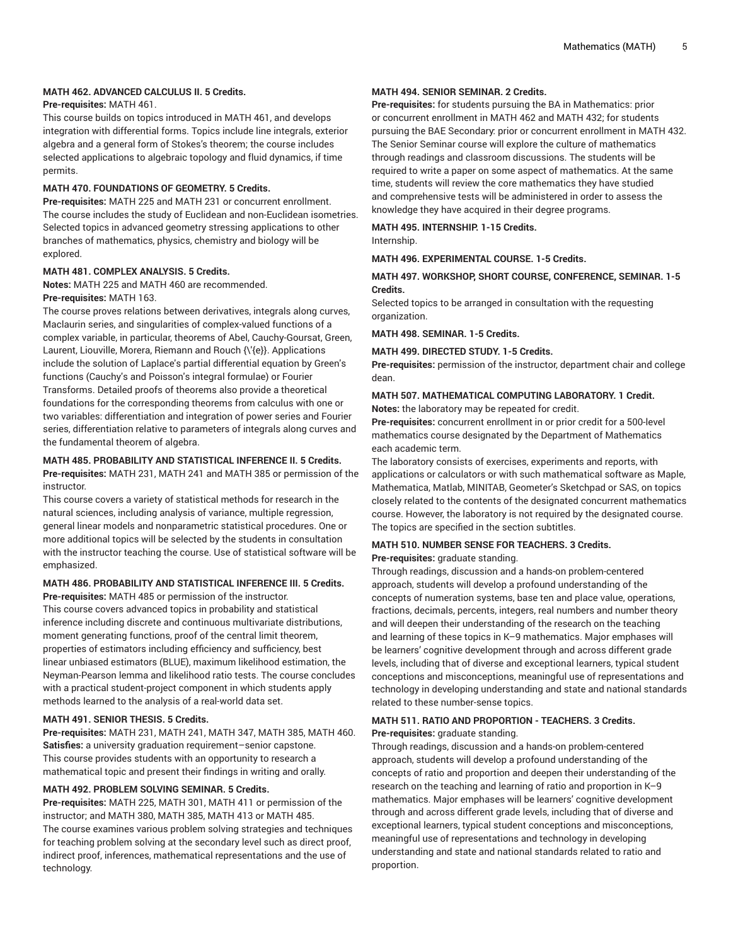## **MATH 462. ADVANCED CALCULUS II. 5 Credits.**

## **Pre-requisites:** MATH 461.

This course builds on topics introduced in MATH 461, and develops integration with differential forms. Topics include line integrals, exterior algebra and a general form of Stokes's theorem; the course includes selected applications to algebraic topology and fluid dynamics, if time permits.

### **MATH 470. FOUNDATIONS OF GEOMETRY. 5 Credits.**

**Pre-requisites:** MATH 225 and MATH 231 or concurrent enrollment. The course includes the study of Euclidean and non-Euclidean isometries. Selected topics in advanced geometry stressing applications to other branches of mathematics, physics, chemistry and biology will be explored.

# **MATH 481. COMPLEX ANALYSIS. 5 Credits.**

**Notes:** MATH 225 and MATH 460 are recommended. **Pre-requisites:** MATH 163.

The course proves relations between derivatives, integrals along curves, Maclaurin series, and singularities of complex-valued functions of a complex variable, in particular, theorems of Abel, Cauchy-Goursat, Green, Laurent, Liouville, Morera, Riemann and Rouch {\'{e}}. Applications include the solution of Laplace's partial differential equation by Green's functions (Cauchy's and Poisson's integral formulae) or Fourier Transforms. Detailed proofs of theorems also provide a theoretical foundations for the corresponding theorems from calculus with one or two variables: differentiation and integration of power series and Fourier series, differentiation relative to parameters of integrals along curves and the fundamental theorem of algebra.

# **MATH 485. PROBABILITY AND STATISTICAL INFERENCE II. 5 Credits.**

**Pre-requisites:** MATH 231, MATH 241 and MATH 385 or permission of the instructor.

This course covers a variety of statistical methods for research in the natural sciences, including analysis of variance, multiple regression, general linear models and nonparametric statistical procedures. One or more additional topics will be selected by the students in consultation with the instructor teaching the course. Use of statistical software will be emphasized.

## **MATH 486. PROBABILITY AND STATISTICAL INFERENCE III. 5 Credits.**

**Pre-requisites:** MATH 485 or permission of the instructor. This course covers advanced topics in probability and statistical inference including discrete and continuous multivariate distributions, moment generating functions, proof of the central limit theorem, properties of estimators including efficiency and sufficiency, best linear unbiased estimators (BLUE), maximum likelihood estimation, the Neyman-Pearson lemma and likelihood ratio tests. The course concludes with a practical student-project component in which students apply methods learned to the analysis of a real-world data set.

## **MATH 491. SENIOR THESIS. 5 Credits.**

**Pre-requisites:** MATH 231, MATH 241, MATH 347, MATH 385, MATH 460. **Satisfies:** a university graduation requirement–senior capstone. This course provides students with an opportunity to research a mathematical topic and present their findings in writing and orally.

## **MATH 492. PROBLEM SOLVING SEMINAR. 5 Credits.**

**Pre-requisites:** MATH 225, MATH 301, MATH 411 or permission of the instructor; and MATH 380, MATH 385, MATH 413 or MATH 485. The course examines various problem solving strategies and techniques for teaching problem solving at the secondary level such as direct proof, indirect proof, inferences, mathematical representations and the use of technology.

## **MATH 494. SENIOR SEMINAR. 2 Credits.**

**Pre-requisites:** for students pursuing the BA in Mathematics: prior or concurrent enrollment in MATH 462 and MATH 432; for students pursuing the BAE Secondary: prior or concurrent enrollment in MATH 432. The Senior Seminar course will explore the culture of mathematics through readings and classroom discussions. The students will be required to write a paper on some aspect of mathematics. At the same time, students will review the core mathematics they have studied and comprehensive tests will be administered in order to assess the knowledge they have acquired in their degree programs.

## **MATH 495. INTERNSHIP. 1-15 Credits.**

Internship.

## **MATH 496. EXPERIMENTAL COURSE. 1-5 Credits.**

## **MATH 497. WORKSHOP, SHORT COURSE, CONFERENCE, SEMINAR. 1-5 Credits.**

Selected topics to be arranged in consultation with the requesting organization.

**MATH 498. SEMINAR. 1-5 Credits.**

#### **MATH 499. DIRECTED STUDY. 1-5 Credits.**

**Pre-requisites:** permission of the instructor, department chair and college dean.

## **MATH 507. MATHEMATICAL COMPUTING LABORATORY. 1 Credit. Notes:** the laboratory may be repeated for credit.

**Pre-requisites:** concurrent enrollment in or prior credit for a 500-level mathematics course designated by the Department of Mathematics each academic term.

The laboratory consists of exercises, experiments and reports, with applications or calculators or with such mathematical software as Maple, Mathematica, Matlab, MINITAB, Geometer's Sketchpad or SAS, on topics closely related to the contents of the designated concurrent mathematics course. However, the laboratory is not required by the designated course. The topics are specified in the section subtitles.

# **MATH 510. NUMBER SENSE FOR TEACHERS. 3 Credits.**

**Pre-requisites:** graduate standing.

Through readings, discussion and a hands-on problem-centered approach, students will develop a profound understanding of the concepts of numeration systems, base ten and place value, operations, fractions, decimals, percents, integers, real numbers and number theory and will deepen their understanding of the research on the teaching and learning of these topics in K–9 mathematics. Major emphases will be learners' cognitive development through and across different grade levels, including that of diverse and exceptional learners, typical student conceptions and misconceptions, meaningful use of representations and technology in developing understanding and state and national standards related to these number-sense topics.

## **MATH 511. RATIO AND PROPORTION - TEACHERS. 3 Credits. Pre-requisites:** graduate standing.

Through readings, discussion and a hands-on problem-centered approach, students will develop a profound understanding of the concepts of ratio and proportion and deepen their understanding of the research on the teaching and learning of ratio and proportion in K–9 mathematics. Major emphases will be learners' cognitive development through and across different grade levels, including that of diverse and exceptional learners, typical student conceptions and misconceptions, meaningful use of representations and technology in developing understanding and state and national standards related to ratio and proportion.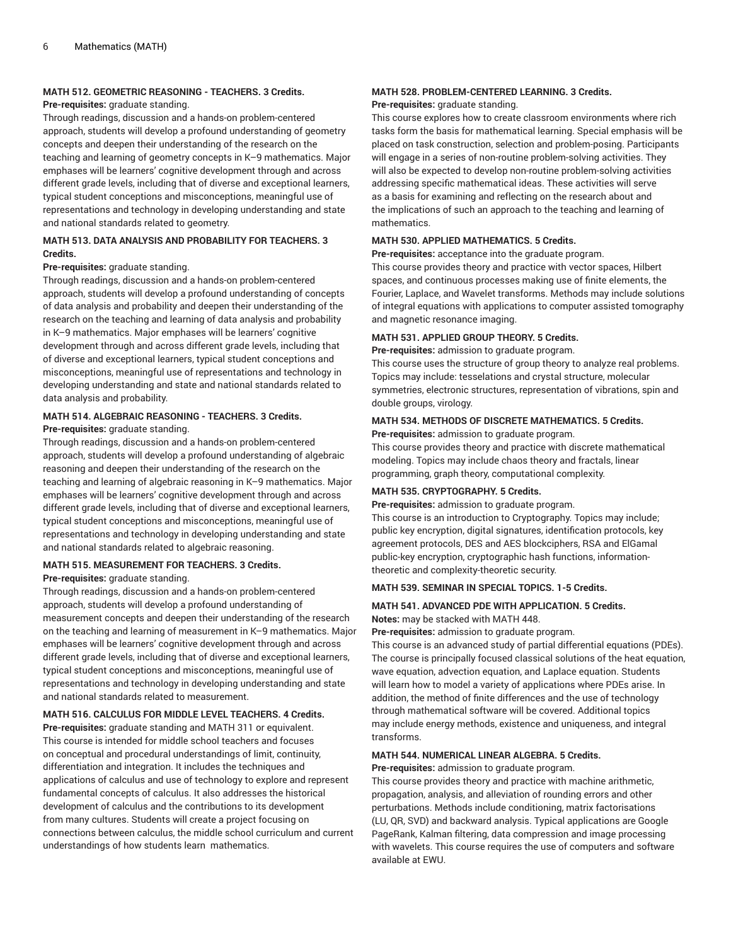## **MATH 512. GEOMETRIC REASONING - TEACHERS. 3 Credits.**

## **Pre-requisites:** graduate standing.

Through readings, discussion and a hands-on problem-centered approach, students will develop a profound understanding of geometry concepts and deepen their understanding of the research on the teaching and learning of geometry concepts in K–9 mathematics. Major emphases will be learners' cognitive development through and across different grade levels, including that of diverse and exceptional learners, typical student conceptions and misconceptions, meaningful use of representations and technology in developing understanding and state and national standards related to geometry.

# **MATH 513. DATA ANALYSIS AND PROBABILITY FOR TEACHERS. 3 Credits.**

## **Pre-requisites:** graduate standing.

Through readings, discussion and a hands-on problem-centered approach, students will develop a profound understanding of concepts of data analysis and probability and deepen their understanding of the research on the teaching and learning of data analysis and probability in K–9 mathematics. Major emphases will be learners' cognitive development through and across different grade levels, including that of diverse and exceptional learners, typical student conceptions and misconceptions, meaningful use of representations and technology in developing understanding and state and national standards related to data analysis and probability.

# **MATH 514. ALGEBRAIC REASONING - TEACHERS. 3 Credits.**

## **Pre-requisites:** graduate standing.

Through readings, discussion and a hands-on problem-centered approach, students will develop a profound understanding of algebraic reasoning and deepen their understanding of the research on the teaching and learning of algebraic reasoning in K–9 mathematics. Major emphases will be learners' cognitive development through and across different grade levels, including that of diverse and exceptional learners, typical student conceptions and misconceptions, meaningful use of representations and technology in developing understanding and state and national standards related to algebraic reasoning.

## **MATH 515. MEASUREMENT FOR TEACHERS. 3 Credits. Pre-requisites:** graduate standing.

Through readings, discussion and a hands-on problem-centered approach, students will develop a profound understanding of measurement concepts and deepen their understanding of the research on the teaching and learning of measurement in K–9 mathematics. Major emphases will be learners' cognitive development through and across different grade levels, including that of diverse and exceptional learners, typical student conceptions and misconceptions, meaningful use of representations and technology in developing understanding and state and national standards related to measurement.

# **MATH 516. CALCULUS FOR MIDDLE LEVEL TEACHERS. 4 Credits.**

**Pre-requisites:** graduate standing and MATH 311 or equivalent. This course is intended for middle school teachers and focuses on conceptual and procedural understandings of limit, continuity, differentiation and integration. It includes the techniques and applications of calculus and use of technology to explore and represent fundamental concepts of calculus. It also addresses the historical development of calculus and the contributions to its development from many cultures. Students will create a project focusing on connections between calculus, the middle school curriculum and current understandings of how students learn mathematics.

# **MATH 528. PROBLEM-CENTERED LEARNING. 3 Credits.**

## **Pre-requisites:** graduate standing.

This course explores how to create classroom environments where rich tasks form the basis for mathematical learning. Special emphasis will be placed on task construction, selection and problem-posing. Participants will engage in a series of non-routine problem-solving activities. They will also be expected to develop non-routine problem-solving activities addressing specific mathematical ideas. These activities will serve as a basis for examining and reflecting on the research about and the implications of such an approach to the teaching and learning of mathematics.

# **MATH 530. APPLIED MATHEMATICS. 5 Credits.**

**Pre-requisites:** acceptance into the graduate program.

This course provides theory and practice with vector spaces, Hilbert spaces, and continuous processes making use of finite elements, the Fourier, Laplace, and Wavelet transforms. Methods may include solutions of integral equations with applications to computer assisted tomography and magnetic resonance imaging.

# **MATH 531. APPLIED GROUP THEORY. 5 Credits.**

**Pre-requisites:** admission to graduate program.

This course uses the structure of group theory to analyze real problems. Topics may include: tesselations and crystal structure, molecular symmetries, electronic structures, representation of vibrations, spin and double groups, virology.

# **MATH 534. METHODS OF DISCRETE MATHEMATICS. 5 Credits.**

**Pre-requisites:** admission to graduate program.

This course provides theory and practice with discrete mathematical modeling. Topics may include chaos theory and fractals, linear programming, graph theory, computational complexity.

## **MATH 535. CRYPTOGRAPHY. 5 Credits.**

**Pre-requisites:** admission to graduate program.

This course is an introduction to Cryptography. Topics may include; public key encryption, digital signatures, identification protocols, key agreement protocols, DES and AES blockciphers, RSA and ElGamal public-key encryption, cryptographic hash functions, informationtheoretic and complexity-theoretic security.

## **MATH 539. SEMINAR IN SPECIAL TOPICS. 1-5 Credits.**

## **MATH 541. ADVANCED PDE WITH APPLICATION. 5 Credits.**

**Notes:** may be stacked with MATH 448.

**Pre-requisites:** admission to graduate program.

This course is an advanced study of partial differential equations (PDEs). The course is principally focused classical solutions of the heat equation, wave equation, advection equation, and Laplace equation. Students will learn how to model a variety of applications where PDEs arise. In addition, the method of finite differences and the use of technology through mathematical software will be covered. Additional topics may include energy methods, existence and uniqueness, and integral transforms.

## **MATH 544. NUMERICAL LINEAR ALGEBRA. 5 Credits.**

**Pre-requisites:** admission to graduate program.

This course provides theory and practice with machine arithmetic, propagation, analysis, and alleviation of rounding errors and other perturbations. Methods include conditioning, matrix factorisations (LU, QR, SVD) and backward analysis. Typical applications are Google PageRank, Kalman filtering, data compression and image processing with wavelets. This course requires the use of computers and software available at EWU.